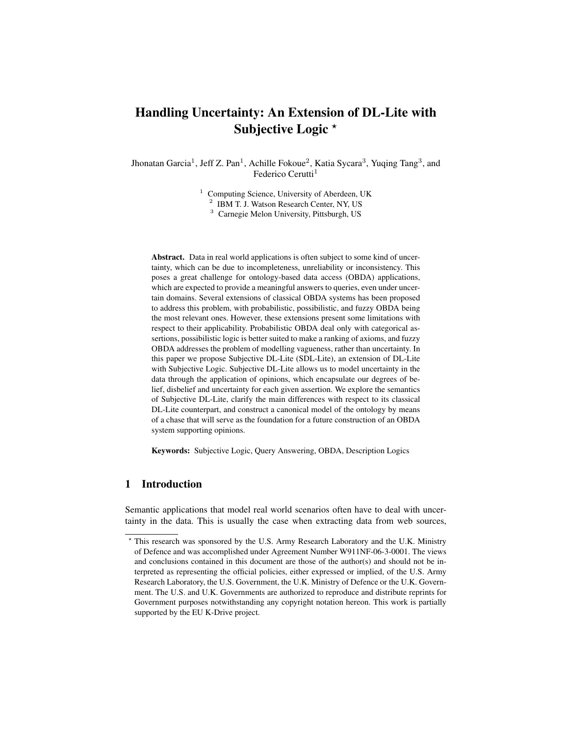# Handling Uncertainty: An Extension of DL-Lite with Subjective Logic \*

Jhonatan Garcia<sup>1</sup>, Jeff Z. Pan<sup>1</sup>, Achille Fokoue<sup>2</sup>, Katia Sycara<sup>3</sup>, Yuqing Tang<sup>3</sup>, and Federico Cerutti<sup>1</sup>

<sup>1</sup> Computing Science, University of Aberdeen, UK

<sup>2</sup> IBM T. J. Watson Research Center, NY, US

<sup>3</sup> Carnegie Melon University, Pittsburgh, US

Abstract. Data in real world applications is often subject to some kind of uncertainty, which can be due to incompleteness, unreliability or inconsistency. This poses a great challenge for ontology-based data access (OBDA) applications, which are expected to provide a meaningful answers to queries, even under uncertain domains. Several extensions of classical OBDA systems has been proposed to address this problem, with probabilistic, possibilistic, and fuzzy OBDA being the most relevant ones. However, these extensions present some limitations with respect to their applicability. Probabilistic OBDA deal only with categorical assertions, possibilistic logic is better suited to make a ranking of axioms, and fuzzy OBDA addresses the problem of modelling vagueness, rather than uncertainty. In this paper we propose Subjective DL-Lite (SDL-Lite), an extension of DL-Lite with Subjective Logic. Subjective DL-Lite allows us to model uncertainty in the data through the application of opinions, which encapsulate our degrees of belief, disbelief and uncertainty for each given assertion. We explore the semantics of Subjective DL-Lite, clarify the main differences with respect to its classical DL-Lite counterpart, and construct a canonical model of the ontology by means of a chase that will serve as the foundation for a future construction of an OBDA system supporting opinions.

Keywords: Subjective Logic, Query Answering, OBDA, Description Logics

# 1 Introduction

Semantic applications that model real world scenarios often have to deal with uncertainty in the data. This is usually the case when extracting data from web sources,

<sup>?</sup> This research was sponsored by the U.S. Army Research Laboratory and the U.K. Ministry of Defence and was accomplished under Agreement Number W911NF-06-3-0001. The views and conclusions contained in this document are those of the author(s) and should not be interpreted as representing the official policies, either expressed or implied, of the U.S. Army Research Laboratory, the U.S. Government, the U.K. Ministry of Defence or the U.K. Government. The U.S. and U.K. Governments are authorized to reproduce and distribute reprints for Government purposes notwithstanding any copyright notation hereon. This work is partially supported by the EU K-Drive project.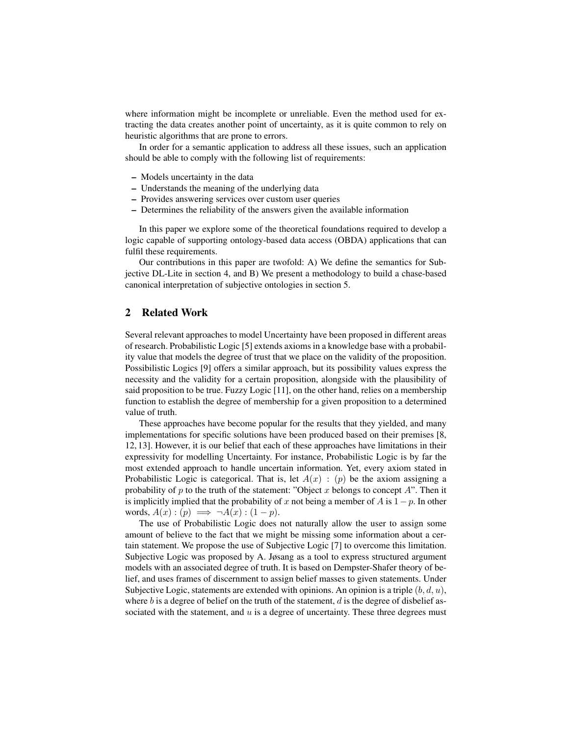where information might be incomplete or unreliable. Even the method used for extracting the data creates another point of uncertainty, as it is quite common to rely on heuristic algorithms that are prone to errors.

In order for a semantic application to address all these issues, such an application should be able to comply with the following list of requirements:

- Models uncertainty in the data
- Understands the meaning of the underlying data
- Provides answering services over custom user queries
- Determines the reliability of the answers given the available information

In this paper we explore some of the theoretical foundations required to develop a logic capable of supporting ontology-based data access (OBDA) applications that can fulfil these requirements.

Our contributions in this paper are twofold: A) We define the semantics for Subjective DL-Lite in section 4, and B) We present a methodology to build a chase-based canonical interpretation of subjective ontologies in section 5.

## 2 Related Work

Several relevant approaches to model Uncertainty have been proposed in different areas of research. Probabilistic Logic [5] extends axioms in a knowledge base with a probability value that models the degree of trust that we place on the validity of the proposition. Possibilistic Logics [9] offers a similar approach, but its possibility values express the necessity and the validity for a certain proposition, alongside with the plausibility of said proposition to be true. Fuzzy Logic [11], on the other hand, relies on a membership function to establish the degree of membership for a given proposition to a determined value of truth.

These approaches have become popular for the results that they yielded, and many implementations for specific solutions have been produced based on their premises [8, 12, 13]. However, it is our belief that each of these approaches have limitations in their expressivity for modelling Uncertainty. For instance, Probabilistic Logic is by far the most extended approach to handle uncertain information. Yet, every axiom stated in Probabilistic Logic is categorical. That is, let  $A(x)$ : (p) be the axiom assigning a probability of  $p$  to the truth of the statement: "Object  $x$  belongs to concept  $A$ ". Then it is implicitly implied that the probability of x not being a member of A is  $1-p$ . In other words,  $A(x)$ :  $(p) \implies \neg A(x)$ :  $(1-p)$ .

The use of Probabilistic Logic does not naturally allow the user to assign some amount of believe to the fact that we might be missing some information about a certain statement. We propose the use of Subjective Logic [7] to overcome this limitation. Subjective Logic was proposed by A. Jøsang as a tool to express structured argument models with an associated degree of truth. It is based on Dempster-Shafer theory of belief, and uses frames of discernment to assign belief masses to given statements. Under Subjective Logic, statements are extended with opinions. An opinion is a triple  $(b, d, u)$ , where  $b$  is a degree of belief on the truth of the statement,  $d$  is the degree of disbelief associated with the statement, and  $u$  is a degree of uncertainty. These three degrees must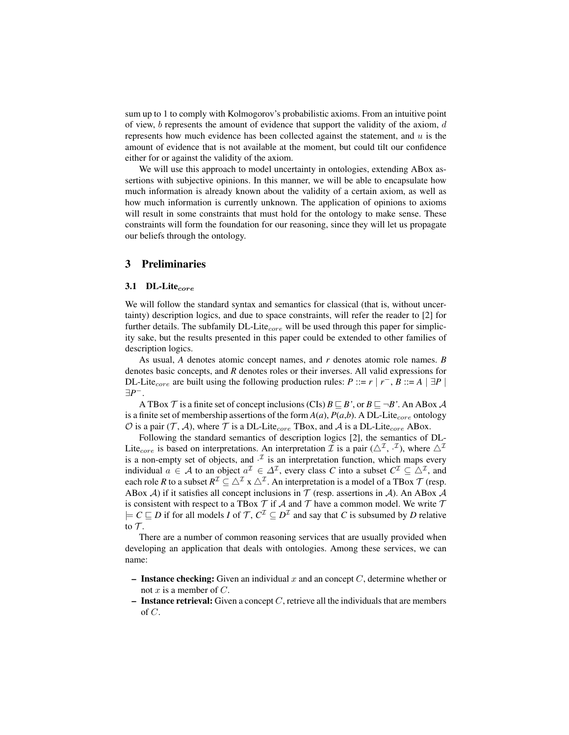sum up to 1 to comply with Kolmogorov's probabilistic axioms. From an intuitive point of view,  $b$  represents the amount of evidence that support the validity of the axiom,  $d$ represents how much evidence has been collected against the statement, and  $u$  is the amount of evidence that is not available at the moment, but could tilt our confidence either for or against the validity of the axiom.

We will use this approach to model uncertainty in ontologies, extending ABox assertions with subjective opinions. In this manner, we will be able to encapsulate how much information is already known about the validity of a certain axiom, as well as how much information is currently unknown. The application of opinions to axioms will result in some constraints that must hold for the ontology to make sense. These constraints will form the foundation for our reasoning, since they will let us propagate our beliefs through the ontology.

## 3 Preliminaries

#### 3.1 DL-Lite $_{core}$

We will follow the standard syntax and semantics for classical (that is, without uncertainty) description logics, and due to space constraints, will refer the reader to [2] for further details. The subfamily DL-Lite $_{core}$  will be used through this paper for simplicity sake, but the results presented in this paper could be extended to other families of description logics.

As usual, *A* denotes atomic concept names, and *r* denotes atomic role names. *B* denotes basic concepts, and *R* denotes roles or their inverses. All valid expressions for DL-Lite<sub>core</sub> are built using the following production rules: *P* ::= *r* | *r*<sup>-</sup>, *B* ::= *A* | ∃*P* | ∃*P* −.

A TBox  $\mathcal T$  is a finite set of concept inclusions (CIs)  $B \sqsubseteq B'$ , or  $B \sqsubseteq \neg B'$ . An ABox  $\mathcal A$ is a finite set of membership assertions of the form  $A(a)$ ,  $P(a,b)$ . A DL-Lite<sub>core</sub> ontology  $\mathcal O$  is a pair (T, A), where T is a DL-Lite<sub>core</sub> TBox, and A is a DL-Lite<sub>core</sub> ABox.

Following the standard semantics of description logics [2], the semantics of DL-Lite<sub>core</sub> is based on interpretations. An interpretation *T* is a pair ( $\triangle^{\mathcal{I}}, \cdot^{\mathcal{I}}$ ), where  $\triangle^{\mathcal{I}}$ is a non-empty set of objects, and  $\cdot^{\mathcal{I}}$  is an interpretation function, which maps every individual  $a \in A$  to an object  $a^{\mathcal{I}} \in \Delta^{\mathcal{I}}$ , every class *C* into a subset  $C^{\mathcal{I}} \subseteq \Delta^{\mathcal{I}}$ , and each role *R* to a subset  $R^{\mathcal{I}} \subseteq \triangle^{\mathcal{I}} x \triangle^{\mathcal{I}}$ . An interpretation is a model of a TBox  $\mathcal{T}$  (resp. ABox A) if it satisfies all concept inclusions in  $\mathcal T$  (resp. assertions in A). An ABox A is consistent with respect to a TBox  $\mathcal T$  if  $\mathcal A$  and  $\mathcal T$  have a common model. We write  $\mathcal T$  $\models C \sqsubseteq D$  if for all models *I* of  $\mathcal{T}, C^{\mathcal{I}} \subseteq D^{\mathcal{I}}$  and say that *C* is subsumed by *D* relative to  $\mathcal T$ .

There are a number of common reasoning services that are usually provided when developing an application that deals with ontologies. Among these services, we can name:

- Instance checking: Given an individual x and an concept C, determine whether or not x is a member of  $C$ .
- Instance retrieval: Given a concept  $C$ , retrieve all the individuals that are members of C.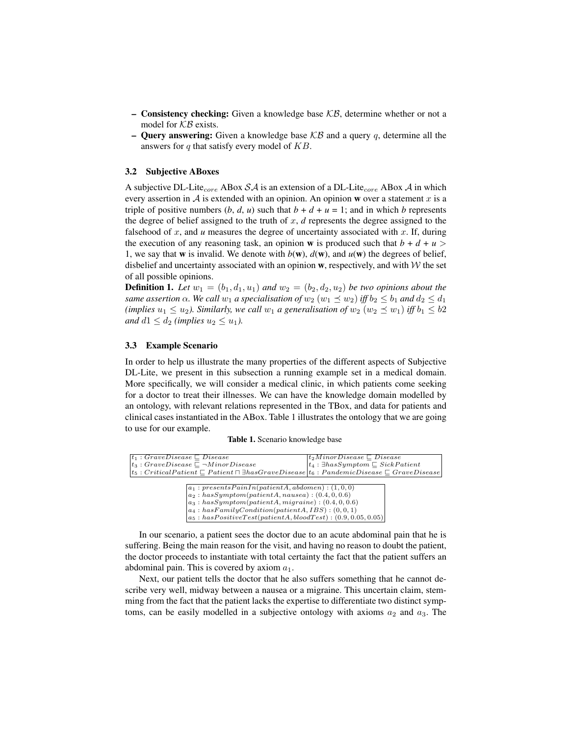- Consistency checking: Given a knowledge base  $KB$ , determine whether or not a model for  $KB$  exists.
- **Query answering:** Given a knowledge base  $KB$  and a query q, determine all the answers for  $q$  that satisfy every model of  $KB$ .

#### 3.2 Subjective ABoxes

A subjective DL-Lite<sub>core</sub> ABox  $\mathcal{S}\mathcal{A}$  is an extension of a DL-Lite<sub>core</sub> ABox  $\mathcal{A}$  in which every assertion in  $A$  is extended with an opinion. An opinion w over a statement x is a triple of positive numbers  $(b, d, u)$  such that  $b + d + u = 1$ ; and in which *b* represents the degree of belief assigned to the truth of  $x$ ,  $d$  represents the degree assigned to the falsehood of x, and  $u$  measures the degree of uncertainty associated with  $x$ . If, during the execution of any reasoning task, an opinion **w** is produced such that  $b + d + u$ 1, we say that **w** is invalid. We denote with  $b(\mathbf{w})$ ,  $d(\mathbf{w})$ , and  $u(\mathbf{w})$  the degrees of belief, disbelief and uncertainty associated with an opinion  $w$ , respectively, and with  $W$  the set of all possible opinions.

**Definition 1.** Let  $w_1 = (b_1, d_1, u_1)$  and  $w_2 = (b_2, d_2, u_2)$  be two opinions about the *same assertion*  $\alpha$ *. We call*  $w_1$  *a specialisation of*  $w_2$   $(w_1 \preceq w_2)$  *iff*  $b_2 \leq b_1$  *and*  $d_2 \leq d_1$ *(implies*  $u_1 \leq u_2$ ). Similarly, we call  $w_1$  a generalisation of  $w_2$   $(w_2 \leq w_1)$  iff  $b_1 \leq b2$ *and*  $d1 \leq d_2$  *(implies*  $u_2 \leq u_1$ *).* 

#### 3.3 Example Scenario

In order to help us illustrate the many properties of the different aspects of Subjective DL-Lite, we present in this subsection a running example set in a medical domain. More specifically, we will consider a medical clinic, in which patients come seeking for a doctor to treat their illnesses. We can have the knowledge domain modelled by an ontology, with relevant relations represented in the TBox, and data for patients and clinical cases instantiated in the ABox. Table 1 illustrates the ontology that we are going to use for our example.

|  |  | Table 1. Scenario knowledge base |  |  |  |
|--|--|----------------------------------|--|--|--|
|--|--|----------------------------------|--|--|--|

| $ t_1:GraveDisease \sqsubset Discase$                                                                                  | $\mid t_2$ MinorDisease $\sqsubset$ Disease           |
|------------------------------------------------------------------------------------------------------------------------|-------------------------------------------------------|
| $ t_3:GraveDisease \sqsubset \neg MinorDisease$                                                                        | $t_4$ : $\exists has Symptom \sqsubseteq SickPattern$ |
| $ t_5: CriticalPattern \sqsubset Patient \sqcap \exists hasGraveDisease   t_6: PandemicDisease \sqsubset GraveDisease$ |                                                       |

| $a_1: presents PainIn(patient A, abdomen) : (1, 0, 0)$ |  |
|--------------------------------------------------------|--|
| $a_2: has Symptom(patient A, nausea) : (0.4, 0, 0.6)$  |  |

 $a_3: has Symptom(patient A, migraine) : (0.4, 0, 0.6)$ 

 $a_4: has Family Condition(pathetA, IBS): (0, 0, 1) \ a_5: has PositiveTest(pathA, bloodTest): (0.9, 0.05, 0.05)$ 

In our scenario, a patient sees the doctor due to an acute abdominal pain that he is suffering. Being the main reason for the visit, and having no reason to doubt the patient, the doctor proceeds to instantiate with total certainty the fact that the patient suffers an abdominal pain. This is covered by axiom  $a_1$ .

Next, our patient tells the doctor that he also suffers something that he cannot describe very well, midway between a nausea or a migraine. This uncertain claim, stemming from the fact that the patient lacks the expertise to differentiate two distinct symptoms, can be easily modelled in a subjective ontology with axioms  $a_2$  and  $a_3$ . The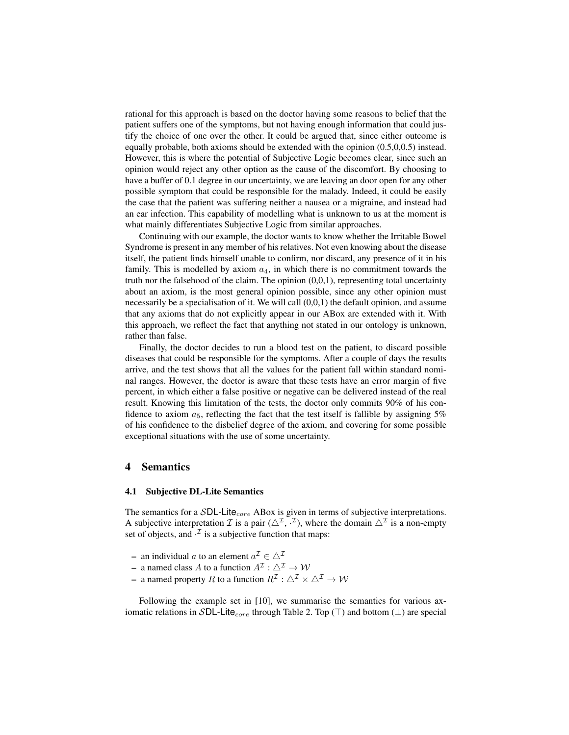rational for this approach is based on the doctor having some reasons to belief that the patient suffers one of the symptoms, but not having enough information that could justify the choice of one over the other. It could be argued that, since either outcome is equally probable, both axioms should be extended with the opinion (0.5,0,0.5) instead. However, this is where the potential of Subjective Logic becomes clear, since such an opinion would reject any other option as the cause of the discomfort. By choosing to have a buffer of 0.1 degree in our uncertainty, we are leaving an door open for any other possible symptom that could be responsible for the malady. Indeed, it could be easily the case that the patient was suffering neither a nausea or a migraine, and instead had an ear infection. This capability of modelling what is unknown to us at the moment is what mainly differentiates Subjective Logic from similar approaches.

Continuing with our example, the doctor wants to know whether the Irritable Bowel Syndrome is present in any member of his relatives. Not even knowing about the disease itself, the patient finds himself unable to confirm, nor discard, any presence of it in his family. This is modelled by axiom  $a_4$ , in which there is no commitment towards the truth nor the falsehood of the claim. The opinion  $(0,0,1)$ , representing total uncertainty about an axiom, is the most general opinion possible, since any other opinion must necessarily be a specialisation of it. We will call (0,0,1) the default opinion, and assume that any axioms that do not explicitly appear in our ABox are extended with it. With this approach, we reflect the fact that anything not stated in our ontology is unknown, rather than false.

Finally, the doctor decides to run a blood test on the patient, to discard possible diseases that could be responsible for the symptoms. After a couple of days the results arrive, and the test shows that all the values for the patient fall within standard nominal ranges. However, the doctor is aware that these tests have an error margin of five percent, in which either a false positive or negative can be delivered instead of the real result. Knowing this limitation of the tests, the doctor only commits 90% of his confidence to axiom  $a_5$ , reflecting the fact that the test itself is fallible by assigning 5% of his confidence to the disbelief degree of the axiom, and covering for some possible exceptional situations with the use of some uncertainty.

#### 4 Semantics

#### 4.1 Subjective DL-Lite Semantics

The semantics for a  $SDL$ -Lite<sub>core</sub> ABox is given in terms of subjective interpretations. A subjective interpretation *T* is a pair  $(\triangle^{\mathcal{I}}, \cdot^{\mathcal{I}})$ , where the domain  $\triangle^{\mathcal{I}}$  is a non-empty set of objects, and  $\cdot^{\mathcal{I}}$  is a subjective function that maps:

- an individual a to an element  $a^{\mathcal{I}} \in \Delta^{\mathcal{I}}$
- a named class A to a function  $A^{\mathcal{I}} : \Delta^{\mathcal{I}} \to \mathcal{W}$
- a named property R to a function  $R^{\mathcal{I}} : \triangle^{\mathcal{I}} \times \triangle^{\mathcal{I}} \to \mathcal{W}$

Following the example set in [10], we summarise the semantics for various axiomatic relations in SDL-Lite<sub>core</sub> through Table 2. Top ( $\top$ ) and bottom ( $\bot$ ) are special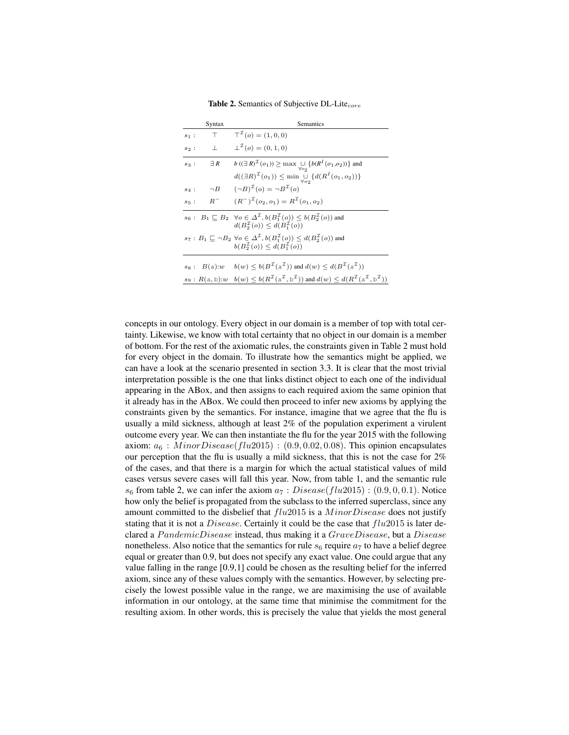|         | Syntax              | Semantics                                                                                                                                                                                |
|---------|---------------------|------------------------------------------------------------------------------------------------------------------------------------------------------------------------------------------|
| $s_1$ : | $\top$              | $T^2(o) = (1,0,0)$                                                                                                                                                                       |
| $s_2$ : | $\sim$ 1.           | $\perp^{\mathcal{I}}(o) = (0,1,0)$                                                                                                                                                       |
| $s_3$ : | $\exists R$         | $b((\exists R)^{\mathcal{I}}(o_1)) \geq \max \bigcup_{\forall o \in \mathcal{I}} \{b(R^{I}(o_1,o_2))\}$ and                                                                              |
|         |                     | $d((\exists R)^{\mathcal{I}}(o_1)) \leq \min_{\forall o \in \mathcal{I}} \{d(R^{I}(o_1, o_2))\}$                                                                                         |
|         | $s_4: \quad \neg B$ | $(\neg B)^{\mathcal{I}}(o) = \neg B^{\mathcal{I}}(o)$                                                                                                                                    |
| $s_5$ : | $R^-$               | $(R^{-})^{\mathcal{I}}(o_2,o_1)=R^{\mathcal{I}}(o_1,o_2)$                                                                                                                                |
|         |                     | $s_6: B_1 \sqsubseteq B_2 \quad \forall o \in \Delta^{\mathcal{I}}, b(B_1^{\mathcal{I}}(o)) \leq b(B_2^{\mathcal{I}}(o))$ and<br>$d(B_2^{\mathcal{I}}(o)) \leq d(B_3^{\mathcal{I}}(o))$  |
|         |                     | $s_7: B_1 \sqsubseteq \neg B_2 \ \forall o \in \Delta^{\mathcal{I}}, b(B_1^{\mathcal{I}}(o)) \leq d(B_2^{\mathcal{I}}(o))$ and<br>$b(B_2^{\mathcal{I}}(o)) \leq d(B_1^{\mathcal{I}}(o))$ |
|         |                     |                                                                                                                                                                                          |
|         |                     | $s_8: B(a): w \quad b(w) \leq b(B^{\mathcal{I}}(a^{\mathcal{I}}))$ and $d(w) \leq d(B^{\mathcal{I}}(a^{\mathcal{I}}))$                                                                   |
|         |                     | $s_9: R(a, b): w \quad b(w) \leq b(R^{\mathcal{I}}(a^{\mathcal{I}}, b^{\mathcal{I}}))$ and $d(w) \leq d(R^{\mathcal{I}}(a^{\mathcal{I}}, b^{\mathcal{I}}))$                              |

**Table 2.** Semantics of Subjective DL-Lite $_{core}$ 

concepts in our ontology. Every object in our domain is a member of top with total certainty. Likewise, we know with total certainty that no object in our domain is a member of bottom. For the rest of the axiomatic rules, the constraints given in Table 2 must hold for every object in the domain. To illustrate how the semantics might be applied, we can have a look at the scenario presented in section 3.3. It is clear that the most trivial interpretation possible is the one that links distinct object to each one of the individual appearing in the ABox, and then assigns to each required axiom the same opinion that it already has in the ABox. We could then proceed to infer new axioms by applying the constraints given by the semantics. For instance, imagine that we agree that the flu is usually a mild sickness, although at least 2% of the population experiment a virulent outcome every year. We can then instantiate the flu for the year 2015 with the following axiom:  $a_6$ :  $Minor Disease(flu2015)$ : (0.9, 0.02, 0.08). This opinion encapsulates our perception that the flu is usually a mild sickness, that this is not the case for  $2\%$ of the cases, and that there is a margin for which the actual statistical values of mild cases versus severe cases will fall this year. Now, from table 1, and the semantic rule  $s_6$  from table 2, we can infer the axiom  $a_7 : Disease(flu2015) : (0.9, 0, 0.1)$ . Notice how only the belief is propagated from the subclass to the inferred superclass, since any amount committed to the disbelief that  $flu2015$  is a  $MinorDisease$  does not justify stating that it is not a *Disease*. Certainly it could be the case that  $flu2015$  is later declared a PandemicDisease instead, thus making it a GraveDisease, but a Disease nonetheless. Also notice that the semantics for rule  $s_6$  require  $a_7$  to have a belief degree equal or greater than 0.9, but does not specify any exact value. One could argue that any value falling in the range [0.9,1] could be chosen as the resulting belief for the inferred axiom, since any of these values comply with the semantics. However, by selecting precisely the lowest possible value in the range, we are maximising the use of available information in our ontology, at the same time that minimise the commitment for the resulting axiom. In other words, this is precisely the value that yields the most general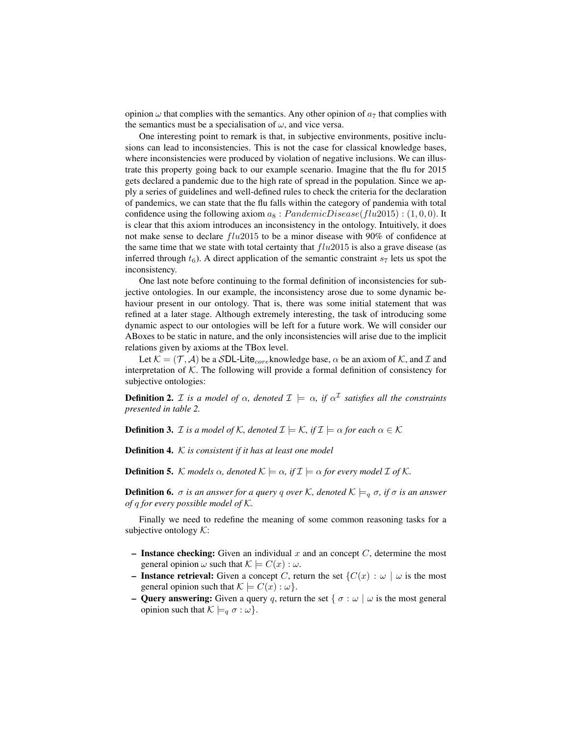opinion  $\omega$  that complies with the semantics. Any other opinion of  $a_7$  that complies with the semantics must be a specialisation of  $\omega$ , and vice versa.

One interesting point to remark is that, in subjective environments, positive inclusions can lead to inconsistencies. This is not the case for classical knowledge bases, where inconsistencies were produced by violation of negative inclusions. We can illustrate this property going back to our example scenario. Imagine that the flu for 2015 gets declared a pandemic due to the high rate of spread in the population. Since we apply a series of guidelines and well-defined rules to check the criteria for the declaration of pandemics, we can state that the flu falls within the category of pandemia with total confidence using the following axiom  $a_8$ :  $PandemicDisease(flu2015)$ : (1,0,0). It is clear that this axiom introduces an inconsistency in the ontology. Intuitively, it does not make sense to declare  $flu2015$  to be a minor disease with 90% of confidence at the same time that we state with total certainty that  $flu2015$  is also a grave disease (as inferred through  $t_6$ ). A direct application of the semantic constraint  $s_7$  lets us spot the inconsistency.

One last note before continuing to the formal definition of inconsistencies for subjective ontologies. In our example, the inconsistency arose due to some dynamic behaviour present in our ontology. That is, there was some initial statement that was refined at a later stage. Although extremely interesting, the task of introducing some dynamic aspect to our ontologies will be left for a future work. We will consider our ABoxes to be static in nature, and the only inconsistencies will arise due to the implicit relations given by axioms at the TBox level.

Let  $\mathcal{K} = (\mathcal{T}, \mathcal{A})$  be a SDL-Lite<sub>core</sub> knowledge base,  $\alpha$  be an axiom of K, and I and interpretation of  $K$ . The following will provide a formal definition of consistency for subjective ontologies:

**Definition 2.** *I* is a model of  $\alpha$ , denoted  $\mathcal{I} \models \alpha$ , if  $\alpha^{\mathcal{I}}$  satisfies all the constraints *presented in table 2.*

**Definition 3.** *I is a model of* K, denoted  $\mathcal{I} \models \mathcal{K}$ , if  $\mathcal{I} \models \alpha$  for each  $\alpha \in \mathcal{K}$ 

Definition 4. K *is consistent if it has at least one model*

**Definition 5.** K models  $\alpha$ , denoted  $K \models \alpha$ , if  $\mathcal{I} \models \alpha$  for every model  $\mathcal{I}$  of  $\mathcal{K}$ .

**Definition 6.**  $\sigma$  *is an answer for a query q over* K, denoted  $K \models_q \sigma$ , *if*  $\sigma$  *is an answer of* q *for every possible model of* K*.*

Finally we need to redefine the meaning of some common reasoning tasks for a subjective ontology  $K$ :

- Instance checking: Given an individual x and an concept  $C$ , determine the most general opinion  $\omega$  such that  $\mathcal{K} \models C(x) : \omega$ .
- Instance retrieval: Given a concept C, return the set  $\{C(x) : \omega \mid \omega \text{ is the most } \}$ general opinion such that  $\mathcal{K} \models C(x) : \omega$ .
- Query answering: Given a query q, return the set {  $\sigma : \omega \mid \omega$  is the most general opinion such that  $\mathcal{K} \models_q \sigma : \omega$ .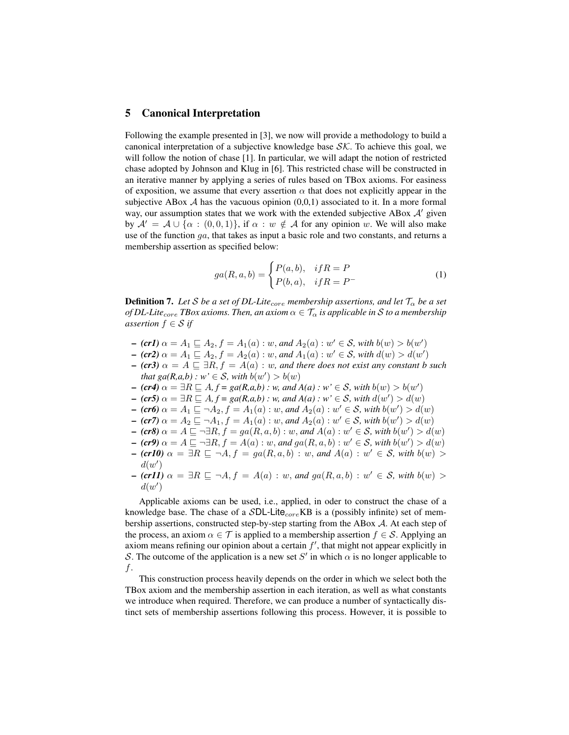## 5 Canonical Interpretation

Following the example presented in [3], we now will provide a methodology to build a canonical interpretation of a subjective knowledge base  $\mathcal{SK}$ . To achieve this goal, we will follow the notion of chase [1]. In particular, we will adapt the notion of restricted chase adopted by Johnson and Klug in [6]. This restricted chase will be constructed in an iterative manner by applying a series of rules based on TBox axioms. For easiness of exposition, we assume that every assertion  $\alpha$  that does not explicitly appear in the subjective ABox  $A$  has the vacuous opinion  $(0,0,1)$  associated to it. In a more formal way, our assumption states that we work with the extended subjective ABox  $A'$  given by  $A' = A \cup \{ \alpha : (0, 0, 1) \}$ , if  $\alpha : w \notin A$  for any opinion w. We will also make use of the function  $qa$ , that takes as input a basic role and two constants, and returns a membership assertion as specified below:

$$
ga(R, a, b) = \begin{cases} P(a, b), & if R = P \\ P(b, a), & if R = P \end{cases}
$$
 (1)

**Definition 7.** Let S be a set of DL-Lite<sub>core</sub> membership assertions, and let  $T_{\alpha}$  be a set *of DL-Lite<sub>core</sub> TBox axioms. Then, an axiom*  $\alpha \in \mathcal{T}_{\alpha}$  *is applicable in* S *to a membership assertion*  $f \in S$  *if* 

- $-$  (**cr1**)  $\alpha = A_1 \sqsubseteq A_2, f = A_1(a) : w$ , and  $A_2(a) : w' \in S$ , with  $b(w) > b(w')$
- $-$  (**cr2**)  $\alpha = A_1 \sqsubseteq A_2, f = A_2(a) : w$ , and  $A_1(a) : w' \in S$ , with  $d(w) > d(w')$
- $-$  *(cr3)*  $\alpha = A \sqsubseteq \exists R, f = A(a) : w$ , and there does not exist any constant b such *that*  $ga(R,a,b)$ :  $w' \in S$ , with  $b(w') > b(w)$
- $\mathcal{L}$  *(cr4)*  $\alpha = \exists R \sqsubseteq A, f = ga(R, a, b) : w$ , and  $A(a) : w' \in S$ , with  $b(w) > b(w')$
- $\bullet$  (**cr5**)  $\alpha = \exists R \sqsubseteq A, f = ga(R, a, b) : w$ , and  $A(a) : w \in S$ , with  $d(w') > d(w)$
- $-$  (**cr6**)  $\alpha = A_1 \sqsubseteq \neg A_2, f = A_1(a) : w$ , and  $A_2(a) : w' \in S$ , with  $b(w') > d(w)$
- $-$  (cr7)  $\alpha = A_2 \sqsubseteq \neg A_1, f = A_1(a) : w$ , and  $A_2(a) : w' \in S$ , with  $b(w') > d(w)$
- $-$  (cr8)  $\alpha = A \sqsubseteq \neg \exists R, f = ga(R, a, b) : w$ , and  $A(a) : w' \in S$ , with  $b(w') > d(w)$
- $-$  (cr9)  $\alpha = A \sqsubseteq \neg \exists R, f = A(a) : w$ , and  $ga(R, a, b) : w' \in S$ , with  $b(w') > d(w)$
- $-$  (**cr10**)  $\alpha = \exists R \sqsubseteq \neg A, f = ga(R, a, b) : w$ , and  $A(a) : w' \in S$ , with  $b(w) >$  $d(w')$
- $-$  (cr11)  $\alpha = \exists R \sqsubseteq \neg A, f = A(a) : w$ , and  $ga(R, a, b) : w' \in S$ , with  $b(w) >$  $d(w')$

Applicable axioms can be used, i.e., applied, in oder to construct the chase of a knowledge base. The chase of a  $SDL$ -Lite<sub>core</sub>KB is a (possibly infinite) set of membership assertions, constructed step-by-step starting from the ABox A. At each step of the process, an axiom  $\alpha \in \mathcal{T}$  is applied to a membership assertion  $f \in \mathcal{S}$ . Applying an axiom means refining our opinion about a certain  $f'$ , that might not appear explicitly in S. The outcome of the application is a new set S' in which  $\alpha$  is no longer applicable to f.

This construction process heavily depends on the order in which we select both the TBox axiom and the membership assertion in each iteration, as well as what constants we introduce when required. Therefore, we can produce a number of syntactically distinct sets of membership assertions following this process. However, it is possible to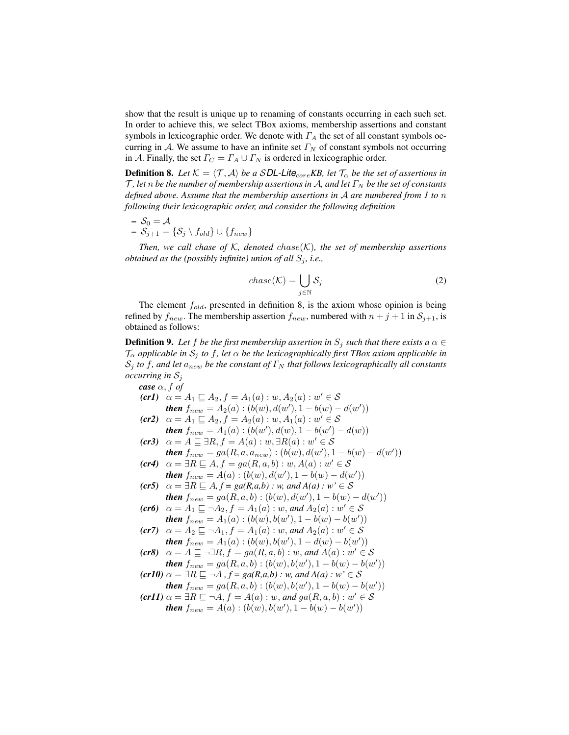show that the result is unique up to renaming of constants occurring in each such set. In order to achieve this, we select TBox axioms, membership assertions and constant symbols in lexicographic order. We denote with  $\Gamma_A$  the set of all constant symbols occurring in A. We assume to have an infinite set  $\Gamma_N$  of constant symbols not occurring in A. Finally, the set  $\Gamma_C = \Gamma_A \cup \Gamma_N$  is ordered in lexicographic order.

**Definition 8.** Let  $K = \langle T, A \rangle$  *be a* SDL-Lite<sub>core</sub> KB, let  $T_{\alpha}$  *be the set of assertions in*  $\mathcal{T}$ , let *n* be the number of membership assertions in A, and let  $\Gamma_N$  be the set of constants *defined above. Assume that the membership assertions in* A *are numbered from 1 to* n *following their lexicographic order, and consider the following definition*

$$
- \mathcal{S}_0 = \mathcal{A}
$$

 $\mathcal{S}_{i+1} = \{ \mathcal{S}_i \setminus f_{old} \} \cup \{ f_{new} \}$ 

*Then, we call chase of*  $K$ *, denoted chase* $(K)$ *, the set of membership assertions obtained as the (possibly infinite) union of all*  $S_j$ , *i.e.*,

$$
chase(K) = \bigcup_{j \in \mathbb{N}} S_j \tag{2}
$$

The element  $f_{old}$ , presented in definition 8, is the axiom whose opinion is being refined by  $f_{new}$ . The membership assertion  $f_{new}$ , numbered with  $n + j + 1$  in  $S_{j+1}$ , is obtained as follows:

**Definition 9.** Let f be the first membership assertion in  $S_j$  such that there exists a  $\alpha \in$  $\mathcal{T}_{\alpha}$  *applicable in*  $\mathcal{S}_{j}$  *to* f, let  $\alpha$  *be the lexicographically first TBox axiom applicable in*  $\mathcal{S}_j$  *to* f, and let  $a_{new}$  be the constant of  $\Gamma_N$  that follows lexicographically all constants *occurring in* S<sup>j</sup>

case 
$$
\alpha, f
$$
 of  
\n $(cr1)$   $\alpha = A_1 \sqsubseteq A_2, f = A_1(a) : w, A_2(a) : w' \in S$   
\nthen  $f_{new} = A_2(a) : (b(w), d(w'), 1 - b(w) - d(w'))$   
\n $(cr2)$   $\alpha = A_1 \sqsubseteq A_2, f = A_2(a) : w, A_1(a) : w' \in S$   
\nthen  $f_{new} = A_1(a) : (b(w'), d(w), 1 - b(w') - d(w))$   
\n $(cr3)$   $\alpha = A \sqsubseteq \exists R, f = A(a) : w, \exists R(a) : w' \in S$   
\nthen  $f_{new} = ga(R, a, a_{new}) : (b(w), d(w'), 1 - b(w) - d(w'))$   
\n $(cr4)$   $\alpha = \exists R \sqsubseteq A, f = ga(R, a, b) : w, A(a) : w' \in S$   
\nthen  $f_{new} = A(a) : (b(w), d(w'), 1 - b(w) - d(w'))$   
\n $(cr5)$   $\alpha = \exists R \sqsubseteq A, f = ga(R, a, b) : w, and A(a) : w' \in S$   
\nthen  $f_{new} = ga(R, a, b) : (b(w), d(w'), 1 - b(w) - d(w'))$   
\n $(cr6)$   $\alpha = A_1 \sqsubseteq \neg A_2, f = A_1(a) : w, and A_2(a) : w' \in S$   
\nthen  $f_{new} = A_1(a) : (b(w), b(w'), 1 - b(w) - b(w'))$   
\n $(cr7)$   $\alpha = A_2 \sqsubseteq \neg A_1, f = A_1(a) : w, and A_2(a) : w' \in S$   
\nthen  $f_{new} = A_1(a) : (b(w), b(w'), 1 - d(w) - b(w'))$   
\n $(cr8)$   $\alpha = A \sqsubseteq \neg \exists R, f = ga(R, a, b) : w, and A(a) : w' \in S$   
\nthen  $f_{new} = ga(R, a, b) : (b(w), b(w'), 1 - b(w) - b(w'))$   
\n $(cr10)$   $\alpha = \exists R \sqsubseteq \neg A, f = ga(R, a, b) : w, and A(a) : w' \in S$ <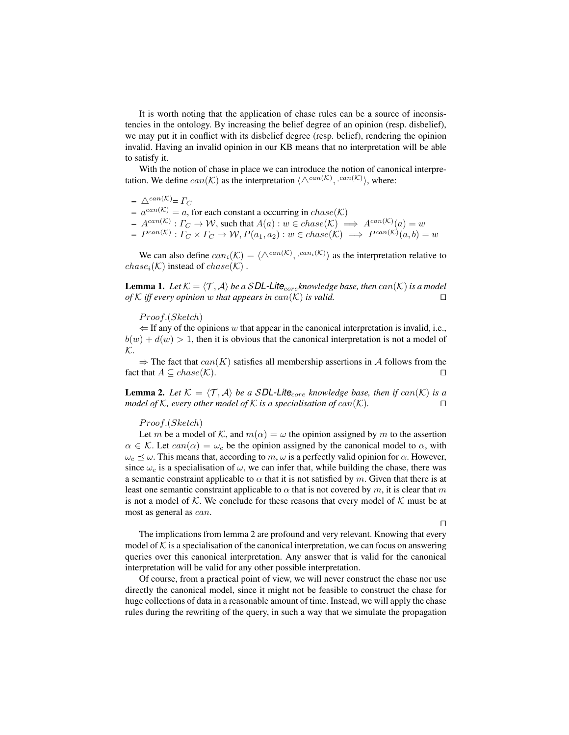It is worth noting that the application of chase rules can be a source of inconsistencies in the ontology. By increasing the belief degree of an opinion (resp. disbelief), we may put it in conflict with its disbelief degree (resp. belief), rendering the opinion invalid. Having an invalid opinion in our KB means that no interpretation will be able to satisfy it.

With the notion of chase in place we can introduce the notion of canonical interpretation. We define  $can(\mathcal{K})$  as the interpretation  $\langle \Delta^{can(\mathcal{K})}, \cdot^{can(\mathcal{K})} \rangle$ , where:

- $\triangle^{can(\mathcal{K})}$ =  $\Gamma_C$
- $a^{can(K)} = a$ , for each constant a occurring in  $chase(K)$
- $A^{can(K)}: \Gamma_C \to \mathcal{W}$ , such that  $A(a): w \in \text{chase}(\mathcal{K}) \implies A^{can(\mathcal{K})}(a) = w$
- $P^{can(\mathcal{K})}: \Gamma_C \times \Gamma_C \rightarrow \mathcal{W}, P(a_1, a_2): w \in \text{chase}(\mathcal{K}) \implies P^{can(\mathcal{K})}(a, b) = w$

We can also define  $can_i(\mathcal{K}) = \langle \triangle^{can(\mathcal{K})}, \cdot^{can_i(\mathcal{K})} \rangle$  as the interpretation relative to  $chase_i(\mathcal{K})$  instead of  $chase(\mathcal{K})$ .

**Lemma 1.** Let  $K = \langle T, A \rangle$  *be a* SDL-Lite<sub>core</sub> knowledge base, then can(K) is a model *of*  $K$  *iff every opinion* w *that appears in*  $can(K)$  *is valid.*  $\Box$ 

#### $Proof.(Sketch)$

 $\Leftarrow$  If any of the opinions w that appear in the canonical interpretation is invalid, i.e.,  $b(w) + d(w) > 1$ , then it is obvious that the canonical interpretation is not a model of  $\mathcal{K}.$ 

 $\Rightarrow$  The fact that  $can(K)$  satisfies all membership assertions in A follows from the fact that  $A \subseteq \text{chase}(\mathcal{K})$ .

**Lemma 2.** Let  $K = \langle T, A \rangle$  be a SDL-Lite<sub>core</sub> knowledge base, then if can(K) is a *model of* K, every other model of K is a specialisation of  $can(K)$ .  $\Box$ 

#### $Proof.(Sketch)$

Let m be a model of K, and  $m(\alpha) = \omega$  the opinion assigned by m to the assertion  $\alpha \in \mathcal{K}$ . Let  $can(\alpha) = \omega_c$  be the opinion assigned by the canonical model to  $\alpha$ , with  $\omega_c \preceq \omega$ . This means that, according to m,  $\omega$  is a perfectly valid opinion for  $\alpha$ . However, since  $\omega_c$  is a specialisation of  $\omega$ , we can infer that, while building the chase, there was a semantic constraint applicable to  $\alpha$  that it is not satisfied by m. Given that there is at least one semantic constraint applicable to  $\alpha$  that is not covered by m, it is clear that m is not a model of  $K$ . We conclude for these reasons that every model of  $K$  must be at most as general as can.

 $\Box$ 

The implications from lemma 2 are profound and very relevant. Knowing that every model of  $K$  is a specialisation of the canonical interpretation, we can focus on answering queries over this canonical interpretation. Any answer that is valid for the canonical interpretation will be valid for any other possible interpretation.

Of course, from a practical point of view, we will never construct the chase nor use directly the canonical model, since it might not be feasible to construct the chase for huge collections of data in a reasonable amount of time. Instead, we will apply the chase rules during the rewriting of the query, in such a way that we simulate the propagation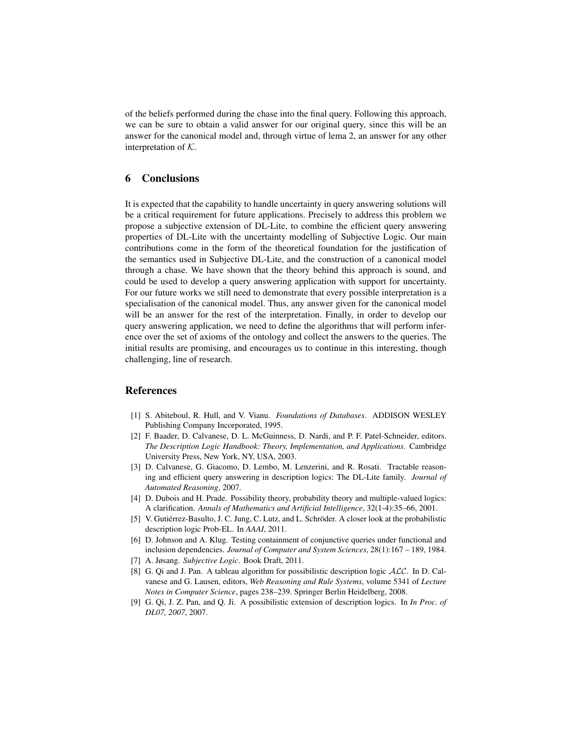of the beliefs performed during the chase into the final query. Following this approach, we can be sure to obtain a valid answer for our original query, since this will be an answer for the canonical model and, through virtue of lema 2, an answer for any other interpretation of K.

# 6 Conclusions

It is expected that the capability to handle uncertainty in query answering solutions will be a critical requirement for future applications. Precisely to address this problem we propose a subjective extension of DL-Lite, to combine the efficient query answering properties of DL-Lite with the uncertainty modelling of Subjective Logic. Our main contributions come in the form of the theoretical foundation for the justification of the semantics used in Subjective DL-Lite, and the construction of a canonical model through a chase. We have shown that the theory behind this approach is sound, and could be used to develop a query answering application with support for uncertainty. For our future works we still need to demonstrate that every possible interpretation is a specialisation of the canonical model. Thus, any answer given for the canonical model will be an answer for the rest of the interpretation. Finally, in order to develop our query answering application, we need to define the algorithms that will perform inference over the set of axioms of the ontology and collect the answers to the queries. The initial results are promising, and encourages us to continue in this interesting, though challenging, line of research.

# **References**

- [1] S. Abiteboul, R. Hull, and V. Vianu. *Foundations of Databases*. ADDISON WESLEY Publishing Company Incorporated, 1995.
- [2] F. Baader, D. Calvanese, D. L. McGuinness, D. Nardi, and P. F. Patel-Schneider, editors. *The Description Logic Handbook: Theory, Implementation, and Applications*. Cambridge University Press, New York, NY, USA, 2003.
- [3] D. Calvanese, G. Giacomo, D. Lembo, M. Lenzerini, and R. Rosati. Tractable reasoning and efficient query answering in description logics: The DL-Lite family. *Journal of Automated Reasoning*, 2007.
- [4] D. Dubois and H. Prade. Possibility theory, probability theory and multiple-valued logics: A clarification. *Annals of Mathematics and Artificial Intelligence*, 32(1-4):35–66, 2001.
- [5] V. Gutiérrez-Basulto, J. C. Jung, C. Lutz, and L. Schröder. A closer look at the probabilistic description logic Prob-EL. In *AAAI*, 2011.
- [6] D. Johnson and A. Klug. Testing containment of conjunctive queries under functional and inclusion dependencies. *Journal of Computer and System Sciences*, 28(1):167 – 189, 1984.
- [7] A. Jøsang. *Subjective Logic*. Book Draft, 2011.
- [8] G. Qi and J. Pan. A tableau algorithm for possibilistic description logic  $ALC$ . In D. Calvanese and G. Lausen, editors, *Web Reasoning and Rule Systems*, volume 5341 of *Lecture Notes in Computer Science*, pages 238–239. Springer Berlin Heidelberg, 2008.
- [9] G. Qi, J. Z. Pan, and Q. Ji. A possibilistic extension of description logics. In *In Proc. of DL07, 2007*, 2007.